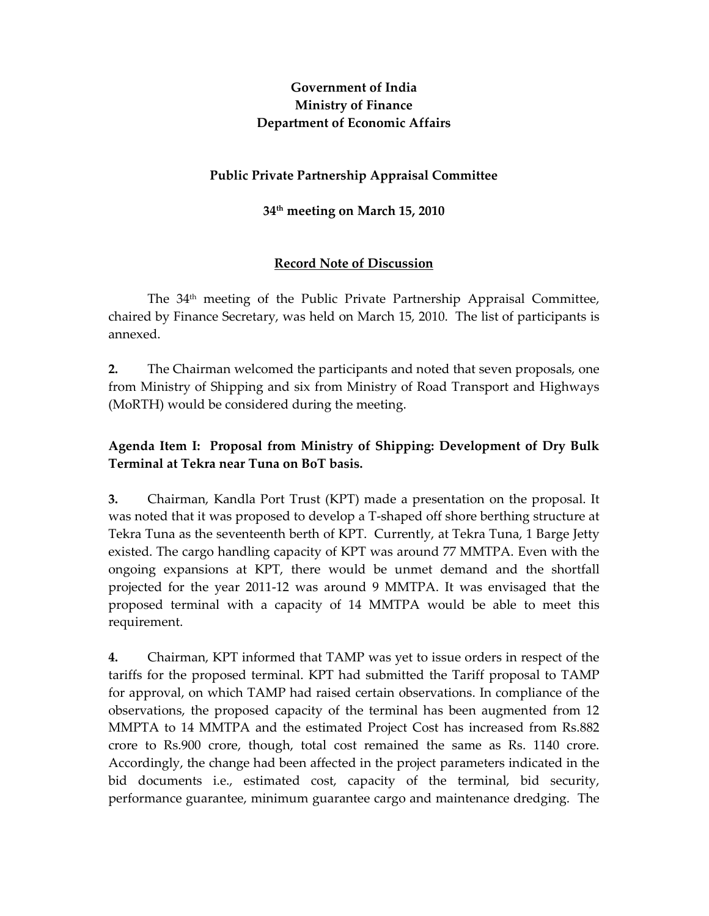# Government of India Ministry of Finance Department of Economic Affairs

### Public Private Partnership Appraisal Committee

### 34th meeting on March 15, 2010

### Record Note of Discussion

The 34<sup>th</sup> meeting of the Public Private Partnership Appraisal Committee, chaired by Finance Secretary, was held on March 15, 2010. The list of participants is annexed.

2. The Chairman welcomed the participants and noted that seven proposals, one from Ministry of Shipping and six from Ministry of Road Transport and Highways (MoRTH) would be considered during the meeting.

# Agenda Item I: Proposal from Ministry of Shipping: Development of Dry Bulk Terminal at Tekra near Tuna on BoT basis.

3. Chairman, Kandla Port Trust (KPT) made a presentation on the proposal. It was noted that it was proposed to develop a T-shaped off shore berthing structure at Tekra Tuna as the seventeenth berth of KPT. Currently, at Tekra Tuna, 1 Barge Jetty existed. The cargo handling capacity of KPT was around 77 MMTPA. Even with the ongoing expansions at KPT, there would be unmet demand and the shortfall projected for the year 2011-12 was around 9 MMTPA. It was envisaged that the proposed terminal with a capacity of 14 MMTPA would be able to meet this requirement.

4. Chairman, KPT informed that TAMP was yet to issue orders in respect of the tariffs for the proposed terminal. KPT had submitted the Tariff proposal to TAMP for approval, on which TAMP had raised certain observations. In compliance of the observations, the proposed capacity of the terminal has been augmented from 12 MMPTA to 14 MMTPA and the estimated Project Cost has increased from Rs.882 crore to Rs.900 crore, though, total cost remained the same as Rs. 1140 crore. Accordingly, the change had been affected in the project parameters indicated in the bid documents i.e., estimated cost, capacity of the terminal, bid security, performance guarantee, minimum guarantee cargo and maintenance dredging. The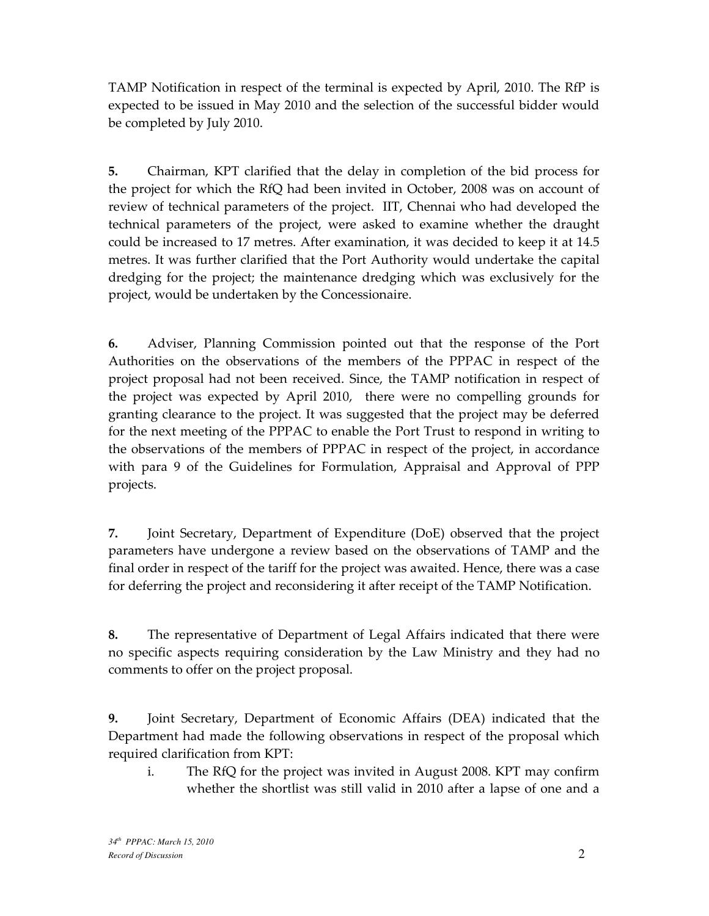TAMP Notification in respect of the terminal is expected by April, 2010. The RfP is expected to be issued in May 2010 and the selection of the successful bidder would be completed by July 2010.

5. Chairman, KPT clarified that the delay in completion of the bid process for the project for which the RfQ had been invited in October, 2008 was on account of review of technical parameters of the project. IIT, Chennai who had developed the technical parameters of the project, were asked to examine whether the draught could be increased to 17 metres. After examination, it was decided to keep it at 14.5 metres. It was further clarified that the Port Authority would undertake the capital dredging for the project; the maintenance dredging which was exclusively for the project, would be undertaken by the Concessionaire.

6. Adviser, Planning Commission pointed out that the response of the Port Authorities on the observations of the members of the PPPAC in respect of the project proposal had not been received. Since, the TAMP notification in respect of the project was expected by April 2010, there were no compelling grounds for granting clearance to the project. It was suggested that the project may be deferred for the next meeting of the PPPAC to enable the Port Trust to respond in writing to the observations of the members of PPPAC in respect of the project, in accordance with para 9 of the Guidelines for Formulation, Appraisal and Approval of PPP projects.

7. Joint Secretary, Department of Expenditure (DoE) observed that the project parameters have undergone a review based on the observations of TAMP and the final order in respect of the tariff for the project was awaited. Hence, there was a case for deferring the project and reconsidering it after receipt of the TAMP Notification.

8. The representative of Department of Legal Affairs indicated that there were no specific aspects requiring consideration by the Law Ministry and they had no comments to offer on the project proposal.

9. Joint Secretary, Department of Economic Affairs (DEA) indicated that the Department had made the following observations in respect of the proposal which required clarification from KPT:

i. The RfQ for the project was invited in August 2008. KPT may confirm whether the shortlist was still valid in 2010 after a lapse of one and a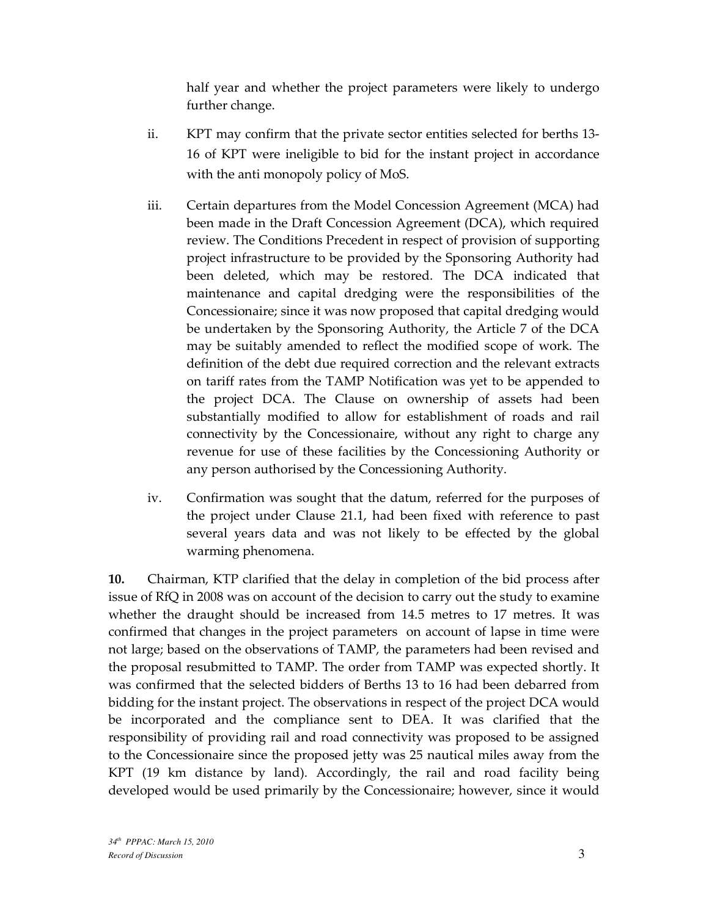half year and whether the project parameters were likely to undergo further change.

- ii. KPT may confirm that the private sector entities selected for berths 13- 16 of KPT were ineligible to bid for the instant project in accordance with the anti monopoly policy of MoS.
- iii. Certain departures from the Model Concession Agreement (MCA) had been made in the Draft Concession Agreement (DCA), which required review. The Conditions Precedent in respect of provision of supporting project infrastructure to be provided by the Sponsoring Authority had been deleted, which may be restored. The DCA indicated that maintenance and capital dredging were the responsibilities of the Concessionaire; since it was now proposed that capital dredging would be undertaken by the Sponsoring Authority, the Article 7 of the DCA may be suitably amended to reflect the modified scope of work. The definition of the debt due required correction and the relevant extracts on tariff rates from the TAMP Notification was yet to be appended to the project DCA. The Clause on ownership of assets had been substantially modified to allow for establishment of roads and rail connectivity by the Concessionaire, without any right to charge any revenue for use of these facilities by the Concessioning Authority or any person authorised by the Concessioning Authority.
- iv. Confirmation was sought that the datum, referred for the purposes of the project under Clause 21.1, had been fixed with reference to past several years data and was not likely to be effected by the global warming phenomena.

10. Chairman, KTP clarified that the delay in completion of the bid process after issue of RfQ in 2008 was on account of the decision to carry out the study to examine whether the draught should be increased from 14.5 metres to 17 metres. It was confirmed that changes in the project parameters on account of lapse in time were not large; based on the observations of TAMP, the parameters had been revised and the proposal resubmitted to TAMP. The order from TAMP was expected shortly. It was confirmed that the selected bidders of Berths 13 to 16 had been debarred from bidding for the instant project. The observations in respect of the project DCA would be incorporated and the compliance sent to DEA. It was clarified that the responsibility of providing rail and road connectivity was proposed to be assigned to the Concessionaire since the proposed jetty was 25 nautical miles away from the KPT (19 km distance by land). Accordingly, the rail and road facility being developed would be used primarily by the Concessionaire; however, since it would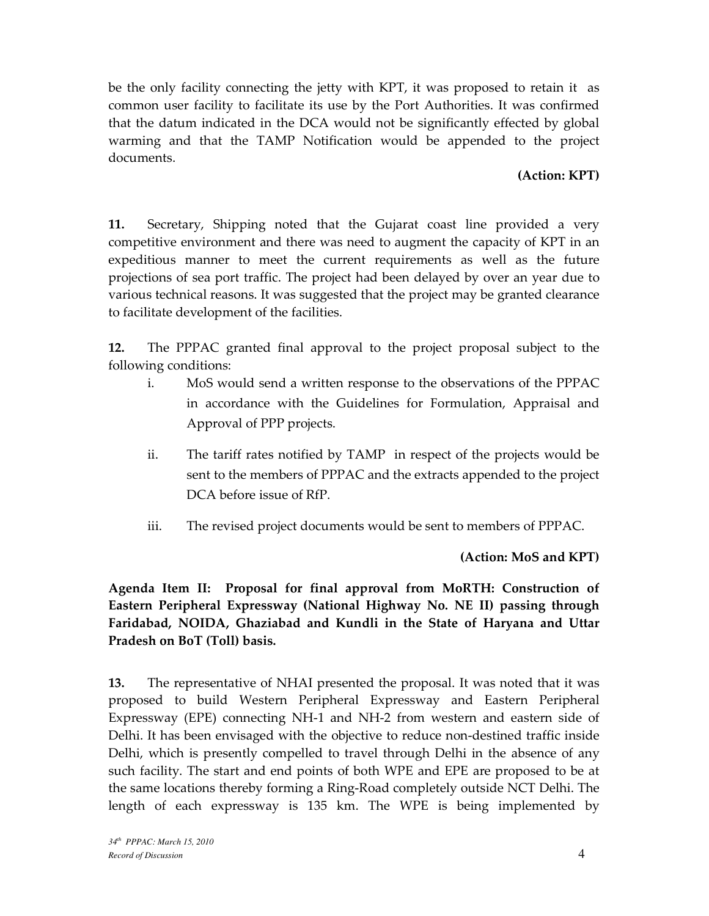be the only facility connecting the jetty with KPT, it was proposed to retain it as common user facility to facilitate its use by the Port Authorities. It was confirmed that the datum indicated in the DCA would not be significantly effected by global warming and that the TAMP Notification would be appended to the project documents.

### (Action: KPT)

11. Secretary, Shipping noted that the Gujarat coast line provided a very competitive environment and there was need to augment the capacity of KPT in an expeditious manner to meet the current requirements as well as the future projections of sea port traffic. The project had been delayed by over an year due to various technical reasons. It was suggested that the project may be granted clearance to facilitate development of the facilities.

12. The PPPAC granted final approval to the project proposal subject to the following conditions:

- i. MoS would send a written response to the observations of the PPPAC in accordance with the Guidelines for Formulation, Appraisal and Approval of PPP projects.
- ii. The tariff rates notified by TAMP in respect of the projects would be sent to the members of PPPAC and the extracts appended to the project DCA before issue of RfP.
- iii. The revised project documents would be sent to members of PPPAC.

(Action: MoS and KPT)

Agenda Item II: Proposal for final approval from MoRTH: Construction of Eastern Peripheral Expressway (National Highway No. NE II) passing through Faridabad, NOIDA, Ghaziabad and Kundli in the State of Haryana and Uttar Pradesh on BoT (Toll) basis.

13. The representative of NHAI presented the proposal. It was noted that it was proposed to build Western Peripheral Expressway and Eastern Peripheral Expressway (EPE) connecting NH-1 and NH-2 from western and eastern side of Delhi. It has been envisaged with the objective to reduce non-destined traffic inside Delhi, which is presently compelled to travel through Delhi in the absence of any such facility. The start and end points of both WPE and EPE are proposed to be at the same locations thereby forming a Ring-Road completely outside NCT Delhi. The length of each expressway is 135 km. The WPE is being implemented by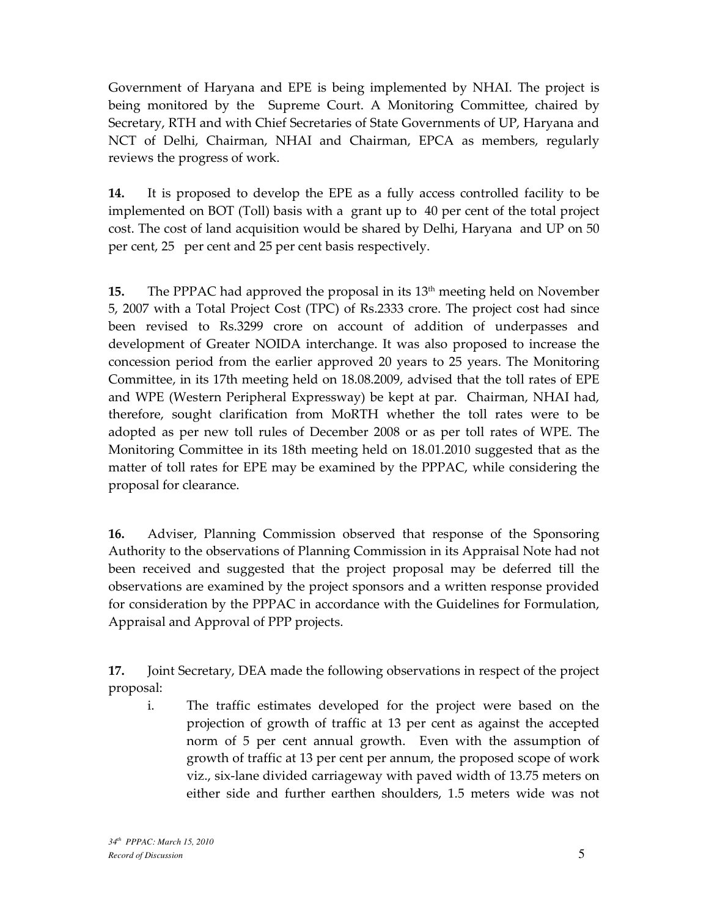Government of Haryana and EPE is being implemented by NHAI. The project is being monitored by the Supreme Court. A Monitoring Committee, chaired by Secretary, RTH and with Chief Secretaries of State Governments of UP, Haryana and NCT of Delhi, Chairman, NHAI and Chairman, EPCA as members, regularly reviews the progress of work.

14. It is proposed to develop the EPE as a fully access controlled facility to be implemented on BOT (Toll) basis with a grant up to 40 per cent of the total project cost. The cost of land acquisition would be shared by Delhi, Haryana and UP on 50 per cent, 25 per cent and 25 per cent basis respectively.

**15.** The PPPAC had approved the proposal in its  $13<sup>th</sup>$  meeting held on November 5, 2007 with a Total Project Cost (TPC) of Rs.2333 crore. The project cost had since been revised to Rs.3299 crore on account of addition of underpasses and development of Greater NOIDA interchange. It was also proposed to increase the concession period from the earlier approved 20 years to 25 years. The Monitoring Committee, in its 17th meeting held on 18.08.2009, advised that the toll rates of EPE and WPE (Western Peripheral Expressway) be kept at par. Chairman, NHAI had, therefore, sought clarification from MoRTH whether the toll rates were to be adopted as per new toll rules of December 2008 or as per toll rates of WPE. The Monitoring Committee in its 18th meeting held on 18.01.2010 suggested that as the matter of toll rates for EPE may be examined by the PPPAC, while considering the proposal for clearance.

16. Adviser, Planning Commission observed that response of the Sponsoring Authority to the observations of Planning Commission in its Appraisal Note had not been received and suggested that the project proposal may be deferred till the observations are examined by the project sponsors and a written response provided for consideration by the PPPAC in accordance with the Guidelines for Formulation, Appraisal and Approval of PPP projects.

17. Joint Secretary, DEA made the following observations in respect of the project proposal:

i. The traffic estimates developed for the project were based on the projection of growth of traffic at 13 per cent as against the accepted norm of 5 per cent annual growth. Even with the assumption of growth of traffic at 13 per cent per annum, the proposed scope of work viz., six-lane divided carriageway with paved width of 13.75 meters on either side and further earthen shoulders, 1.5 meters wide was not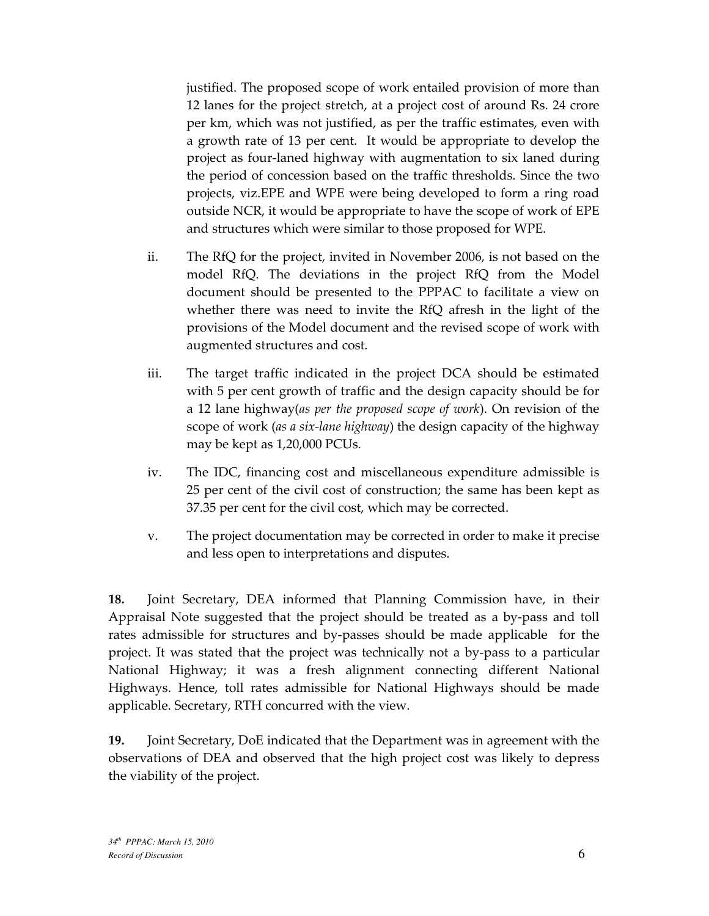justified. The proposed scope of work entailed provision of more than 12 lanes for the project stretch, at a project cost of around Rs. 24 crore per km, which was not justified, as per the traffic estimates, even with a growth rate of 13 per cent. It would be appropriate to develop the project as four-laned highway with augmentation to six laned during the period of concession based on the traffic thresholds. Since the two projects, viz.EPE and WPE were being developed to form a ring road outside NCR, it would be appropriate to have the scope of work of EPE and structures which were similar to those proposed for WPE.

- ii. The RfQ for the project, invited in November 2006, is not based on the model RfQ. The deviations in the project RfQ from the Model document should be presented to the PPPAC to facilitate a view on whether there was need to invite the RfQ afresh in the light of the provisions of the Model document and the revised scope of work with augmented structures and cost.
- iii. The target traffic indicated in the project DCA should be estimated with 5 per cent growth of traffic and the design capacity should be for a 12 lane highway(as per the proposed scope of work). On revision of the scope of work (as a six-lane highway) the design capacity of the highway may be kept as 1,20,000 PCUs.
- iv. The IDC, financing cost and miscellaneous expenditure admissible is 25 per cent of the civil cost of construction; the same has been kept as 37.35 per cent for the civil cost, which may be corrected.
- v. The project documentation may be corrected in order to make it precise and less open to interpretations and disputes.

18. Joint Secretary, DEA informed that Planning Commission have, in their Appraisal Note suggested that the project should be treated as a by-pass and toll rates admissible for structures and by-passes should be made applicable for the project. It was stated that the project was technically not a by-pass to a particular National Highway; it was a fresh alignment connecting different National Highways. Hence, toll rates admissible for National Highways should be made applicable. Secretary, RTH concurred with the view.

19. Joint Secretary, DoE indicated that the Department was in agreement with the observations of DEA and observed that the high project cost was likely to depress the viability of the project.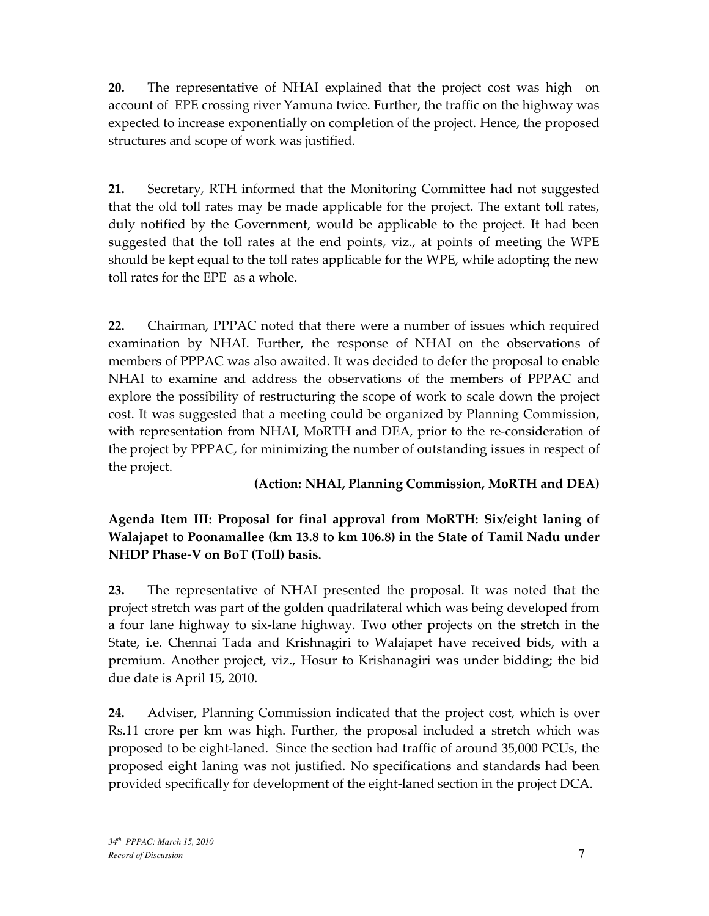20. The representative of NHAI explained that the project cost was high on account of EPE crossing river Yamuna twice. Further, the traffic on the highway was expected to increase exponentially on completion of the project. Hence, the proposed structures and scope of work was justified.

21. Secretary, RTH informed that the Monitoring Committee had not suggested that the old toll rates may be made applicable for the project. The extant toll rates, duly notified by the Government, would be applicable to the project. It had been suggested that the toll rates at the end points, viz., at points of meeting the WPE should be kept equal to the toll rates applicable for the WPE, while adopting the new toll rates for the EPE as a whole.

22. Chairman, PPPAC noted that there were a number of issues which required examination by NHAI. Further, the response of NHAI on the observations of members of PPPAC was also awaited. It was decided to defer the proposal to enable NHAI to examine and address the observations of the members of PPPAC and explore the possibility of restructuring the scope of work to scale down the project cost. It was suggested that a meeting could be organized by Planning Commission, with representation from NHAI, MoRTH and DEA, prior to the re-consideration of the project by PPPAC, for minimizing the number of outstanding issues in respect of the project.

# (Action: NHAI, Planning Commission, MoRTH and DEA)

Agenda Item III: Proposal for final approval from MoRTH: Six/eight laning of Walajapet to Poonamallee (km 13.8 to km 106.8) in the State of Tamil Nadu under NHDP Phase-V on BoT (Toll) basis.

23. The representative of NHAI presented the proposal. It was noted that the project stretch was part of the golden quadrilateral which was being developed from a four lane highway to six-lane highway. Two other projects on the stretch in the State, i.e. Chennai Tada and Krishnagiri to Walajapet have received bids, with a premium. Another project, viz., Hosur to Krishanagiri was under bidding; the bid due date is April 15, 2010.

24. Adviser, Planning Commission indicated that the project cost, which is over Rs.11 crore per km was high. Further, the proposal included a stretch which was proposed to be eight-laned. Since the section had traffic of around 35,000 PCUs, the proposed eight laning was not justified. No specifications and standards had been provided specifically for development of the eight-laned section in the project DCA.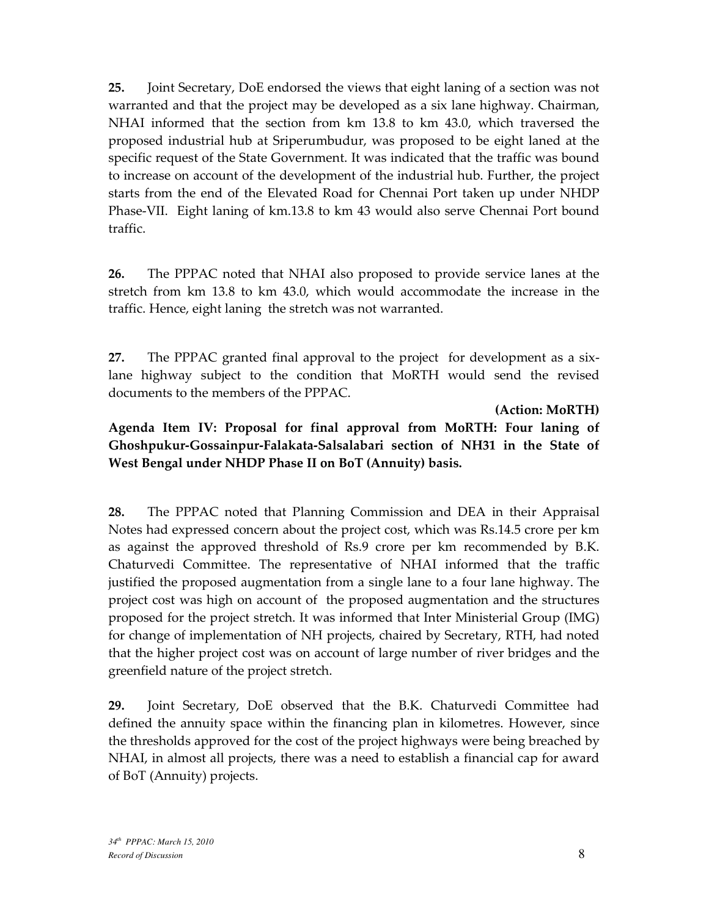25. Joint Secretary, DoE endorsed the views that eight laning of a section was not warranted and that the project may be developed as a six lane highway. Chairman, NHAI informed that the section from km 13.8 to km 43.0, which traversed the proposed industrial hub at Sriperumbudur, was proposed to be eight laned at the specific request of the State Government. It was indicated that the traffic was bound to increase on account of the development of the industrial hub. Further, the project starts from the end of the Elevated Road for Chennai Port taken up under NHDP Phase-VII. Eight laning of km.13.8 to km 43 would also serve Chennai Port bound traffic.

26. The PPPAC noted that NHAI also proposed to provide service lanes at the stretch from km 13.8 to km 43.0, which would accommodate the increase in the traffic. Hence, eight laning the stretch was not warranted.

27. The PPPAC granted final approval to the project for development as a sixlane highway subject to the condition that MoRTH would send the revised documents to the members of the PPPAC.

(Action: MoRTH)

Agenda Item IV: Proposal for final approval from MoRTH: Four laning of Ghoshpukur-Gossainpur-Falakata-Salsalabari section of NH31 in the State of West Bengal under NHDP Phase II on BoT (Annuity) basis.

28. The PPPAC noted that Planning Commission and DEA in their Appraisal Notes had expressed concern about the project cost, which was Rs.14.5 crore per km as against the approved threshold of Rs.9 crore per km recommended by B.K. Chaturvedi Committee. The representative of NHAI informed that the traffic justified the proposed augmentation from a single lane to a four lane highway. The project cost was high on account of the proposed augmentation and the structures proposed for the project stretch. It was informed that Inter Ministerial Group (IMG) for change of implementation of NH projects, chaired by Secretary, RTH, had noted that the higher project cost was on account of large number of river bridges and the greenfield nature of the project stretch.

29. Joint Secretary, DoE observed that the B.K. Chaturvedi Committee had defined the annuity space within the financing plan in kilometres. However, since the thresholds approved for the cost of the project highways were being breached by NHAI, in almost all projects, there was a need to establish a financial cap for award of BoT (Annuity) projects.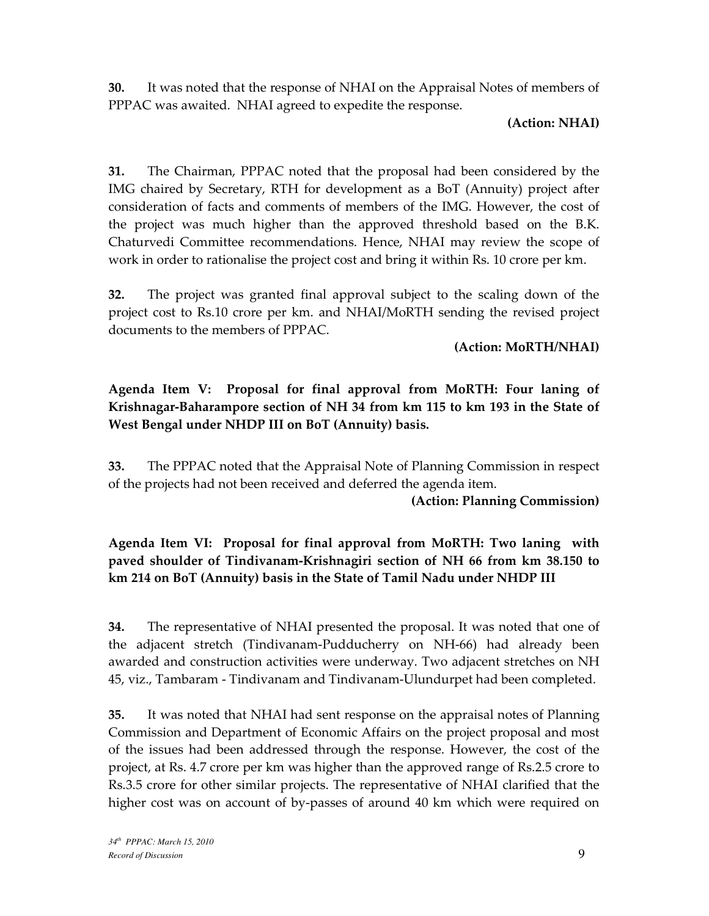30. It was noted that the response of NHAI on the Appraisal Notes of members of PPPAC was awaited. NHAI agreed to expedite the response.

#### (Action: NHAI)

31. The Chairman, PPPAC noted that the proposal had been considered by the IMG chaired by Secretary, RTH for development as a BoT (Annuity) project after consideration of facts and comments of members of the IMG. However, the cost of the project was much higher than the approved threshold based on the B.K. Chaturvedi Committee recommendations. Hence, NHAI may review the scope of work in order to rationalise the project cost and bring it within Rs. 10 crore per km.

32. The project was granted final approval subject to the scaling down of the project cost to Rs.10 crore per km. and NHAI/MoRTH sending the revised project documents to the members of PPPAC.

### (Action: MoRTH/NHAI)

# Agenda Item V: Proposal for final approval from MoRTH: Four laning of Krishnagar-Baharampore section of NH 34 from km 115 to km 193 in the State of West Bengal under NHDP III on BoT (Annuity) basis.

33. The PPPAC noted that the Appraisal Note of Planning Commission in respect of the projects had not been received and deferred the agenda item.

### (Action: Planning Commission)

# Agenda Item VI: Proposal for final approval from MoRTH: Two laning with paved shoulder of Tindivanam-Krishnagiri section of NH 66 from km 38.150 to km 214 on BoT (Annuity) basis in the State of Tamil Nadu under NHDP III

34. The representative of NHAI presented the proposal. It was noted that one of the adjacent stretch (Tindivanam-Pudducherry on NH-66) had already been awarded and construction activities were underway. Two adjacent stretches on NH 45, viz., Tambaram - Tindivanam and Tindivanam-Ulundurpet had been completed.

35. It was noted that NHAI had sent response on the appraisal notes of Planning Commission and Department of Economic Affairs on the project proposal and most of the issues had been addressed through the response. However, the cost of the project, at Rs. 4.7 crore per km was higher than the approved range of Rs.2.5 crore to Rs.3.5 crore for other similar projects. The representative of NHAI clarified that the higher cost was on account of by-passes of around 40 km which were required on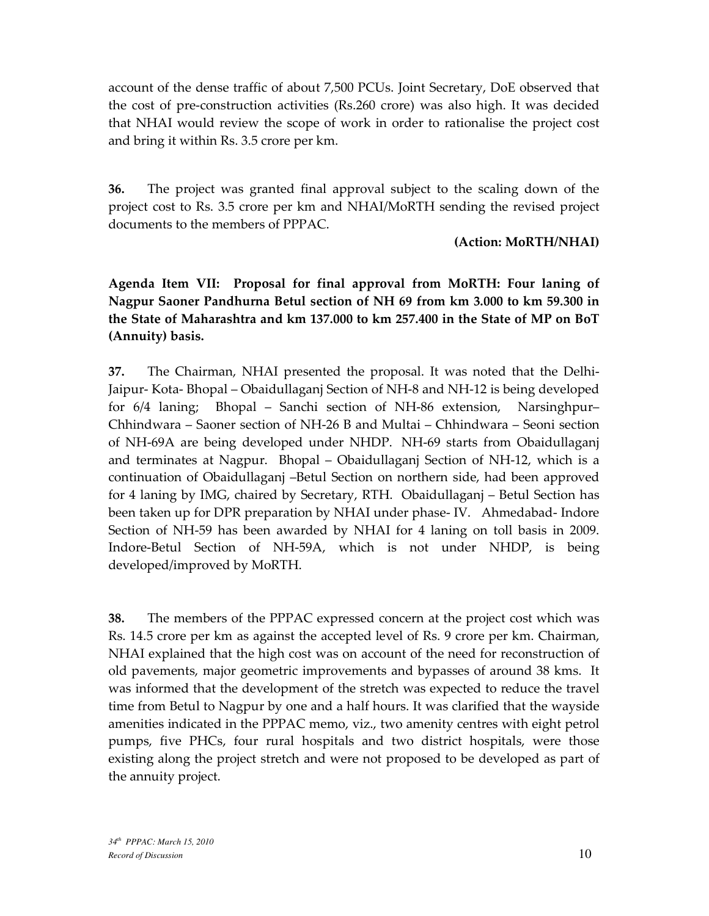account of the dense traffic of about 7,500 PCUs. Joint Secretary, DoE observed that the cost of pre-construction activities (Rs.260 crore) was also high. It was decided that NHAI would review the scope of work in order to rationalise the project cost and bring it within Rs. 3.5 crore per km.

36. The project was granted final approval subject to the scaling down of the project cost to Rs. 3.5 crore per km and NHAI/MoRTH sending the revised project documents to the members of PPPAC.

#### (Action: MoRTH/NHAI)

Agenda Item VII: Proposal for final approval from MoRTH: Four laning of Nagpur Saoner Pandhurna Betul section of NH 69 from km 3.000 to km 59.300 in the State of Maharashtra and km 137.000 to km 257.400 in the State of MP on BoT (Annuity) basis.

37. The Chairman, NHAI presented the proposal. It was noted that the Delhi-Jaipur- Kota- Bhopal – Obaidullaganj Section of NH-8 and NH-12 is being developed for 6/4 laning; Bhopal – Sanchi section of NH-86 extension, Narsinghpur– Chhindwara – Saoner section of NH-26 B and Multai – Chhindwara – Seoni section of NH-69A are being developed under NHDP. NH-69 starts from Obaidullaganj and terminates at Nagpur. Bhopal – Obaidullaganj Section of NH-12, which is a continuation of Obaidullaganj –Betul Section on northern side, had been approved for 4 laning by IMG, chaired by Secretary, RTH. Obaidullaganj – Betul Section has been taken up for DPR preparation by NHAI under phase- IV. Ahmedabad- Indore Section of NH-59 has been awarded by NHAI for 4 laning on toll basis in 2009. Indore-Betul Section of NH-59A, which is not under NHDP, is being developed/improved by MoRTH.

38. The members of the PPPAC expressed concern at the project cost which was Rs. 14.5 crore per km as against the accepted level of Rs. 9 crore per km. Chairman, NHAI explained that the high cost was on account of the need for reconstruction of old pavements, major geometric improvements and bypasses of around 38 kms. It was informed that the development of the stretch was expected to reduce the travel time from Betul to Nagpur by one and a half hours. It was clarified that the wayside amenities indicated in the PPPAC memo, viz., two amenity centres with eight petrol pumps, five PHCs, four rural hospitals and two district hospitals, were those existing along the project stretch and were not proposed to be developed as part of the annuity project.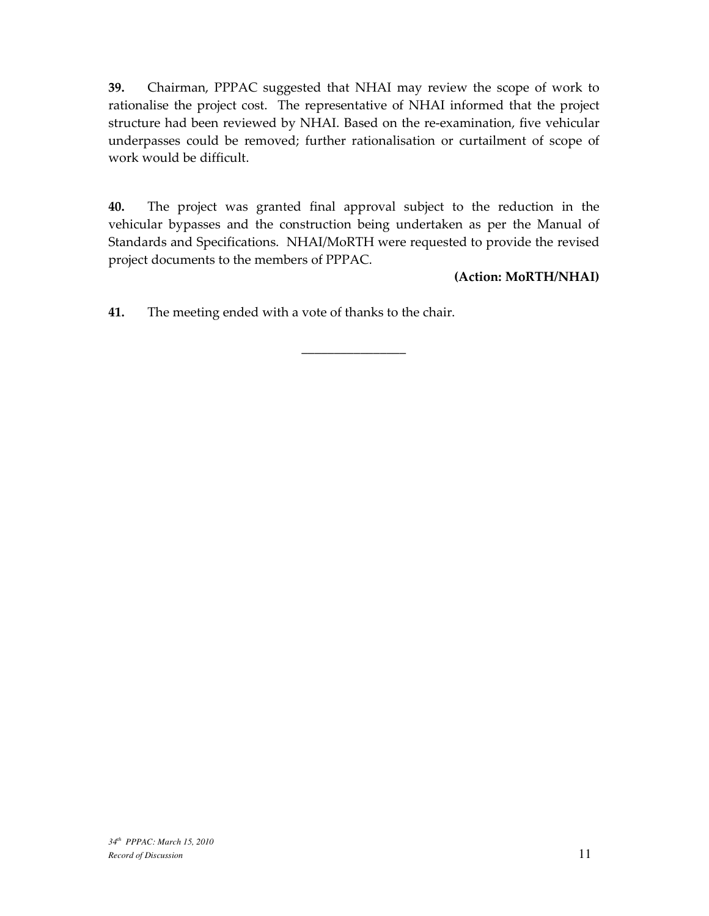39. Chairman, PPPAC suggested that NHAI may review the scope of work to rationalise the project cost. The representative of NHAI informed that the project structure had been reviewed by NHAI. Based on the re-examination, five vehicular underpasses could be removed; further rationalisation or curtailment of scope of work would be difficult.

40. The project was granted final approval subject to the reduction in the vehicular bypasses and the construction being undertaken as per the Manual of Standards and Specifications. NHAI/MoRTH were requested to provide the revised project documents to the members of PPPAC.

\_\_\_\_\_\_\_\_\_\_\_\_\_\_\_\_

#### (Action: MoRTH/NHAI)

41. The meeting ended with a vote of thanks to the chair.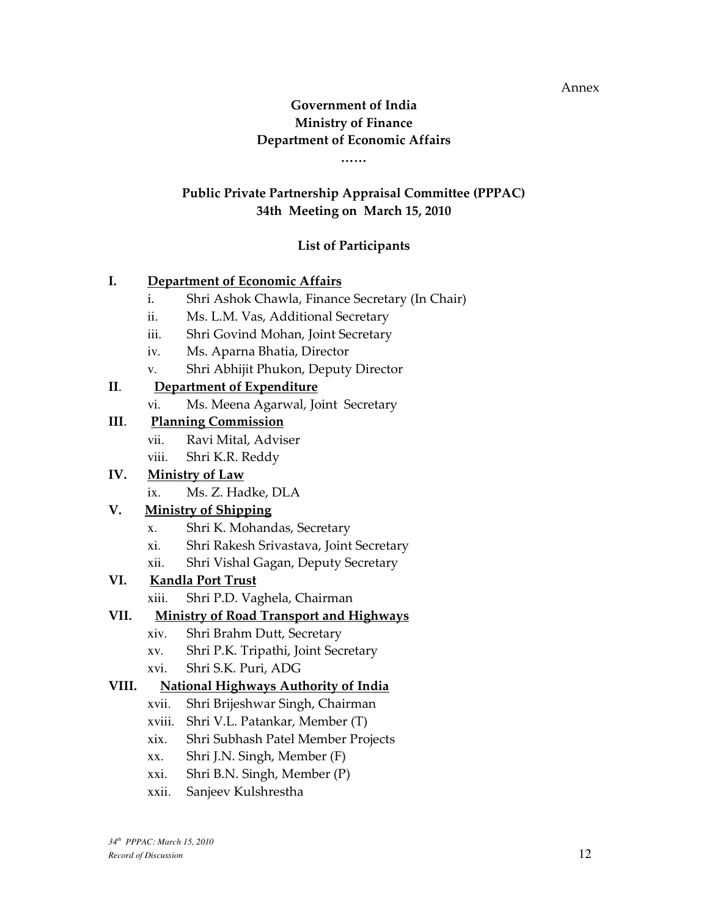Annex

# Government of India Ministry of Finance Department of Economic Affairs

……

# Public Private Partnership Appraisal Committee (PPPAC) 34th Meeting on March 15, 2010

# List of Participants

# I. Department of Economic Affairs

- i. Shri Ashok Chawla, Finance Secretary (In Chair)
- ii. Ms. L.M. Vas, Additional Secretary
- iii. Shri Govind Mohan, Joint Secretary
- iv. Ms. Aparna Bhatia, Director
- v. Shri Abhijit Phukon, Deputy Director

# II. Department of Expenditure

vi. Ms. Meena Agarwal, Joint Secretary

### III. Planning Commission

- vii. Ravi Mital, Adviser
- viii. Shri K.R. Reddy

# IV. Ministry of Law

ix. Ms. Z. Hadke, DLA

# V. Ministry of Shipping

- x. Shri K. Mohandas, Secretary
- xi. Shri Rakesh Srivastava, Joint Secretary
- xii. Shri Vishal Gagan, Deputy Secretary

# VI. Kandla Port Trust

xiii. Shri P.D. Vaghela, Chairman

# VII. Ministry of Road Transport and Highways

- xiv. Shri Brahm Dutt, Secretary
- xv. Shri P.K. Tripathi, Joint Secretary
- xvi. Shri S.K. Puri, ADG

# VIII. National Highways Authority of India

- xvii. Shri Brijeshwar Singh, Chairman
- xviii. Shri V.L. Patankar, Member (T)
- xix. Shri Subhash Patel Member Projects
- xx. Shri J.N. Singh, Member (F)
- xxi. Shri B.N. Singh, Member (P)
- xxii. Sanjeev Kulshrestha